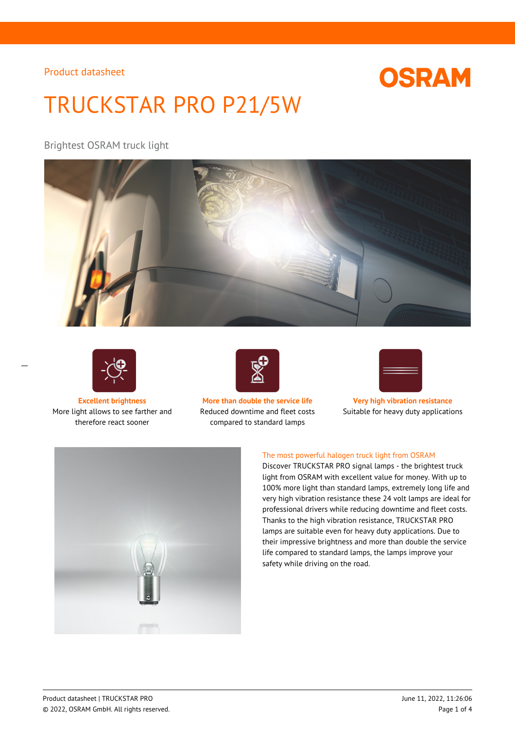# **OSRAM**

# TRUCKSTAR PRO P21/5W

Brightest OSRAM truck light





 $\overline{a}$ 

More light allows to see farther and therefore react sooner



**Excellent brightness More than double the service life Very high vibration resistance** Reduced downtime and fleet costs compared to standard lamps



Suitable for heavy duty applications



#### The most powerful halogen truck light from OSRAM

Discover TRUCKSTAR PRO signal lamps - the brightest truck light from OSRAM with excellent value for money. With up to 100% more light than standard lamps, extremely long life and very high vibration resistance these 24 volt lamps are ideal for professional drivers while reducing downtime and fleet costs. Thanks to the high vibration resistance, TRUCKSTAR PRO lamps are suitable even for heavy duty applications. Due to their impressive brightness and more than double the service life compared to standard lamps, the lamps improve your safety while driving on the road.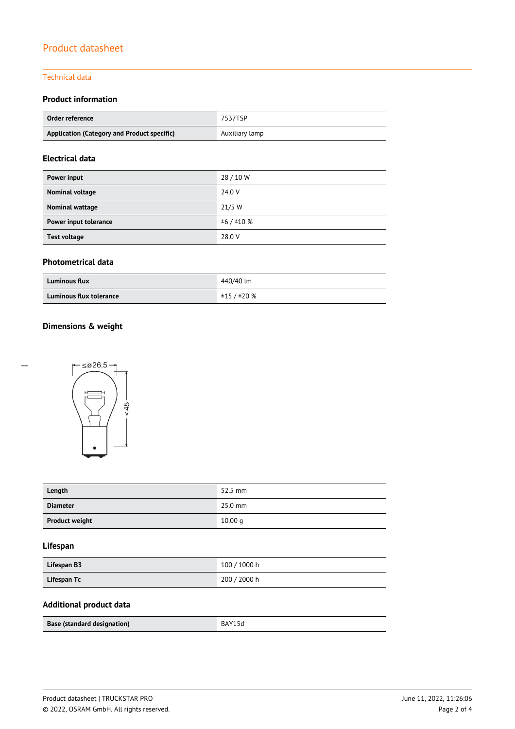#### Technical data

### **Product information**

| Order reference                             | 7537TSP        |  |  |
|---------------------------------------------|----------------|--|--|
| Application (Category and Product specific) | Auxiliary lamp |  |  |

### **Electrical data**

| Power input           | 28/10W  |
|-----------------------|---------|
| Nominal voltage       | 24.0 V  |
| Nominal wattage       | 21/5 W  |
| Power input tolerance | ±6/±10% |
| <b>Test voltage</b>   | 28.0 V  |

#### **Photometrical data**

| <b>Luminous flux</b>    | 440/40 lm   |
|-------------------------|-------------|
| Luminous flux tolerance | ±15 / ±20 % |

## **Dimensions & weight**



| Length                | 52.5 mm   |
|-----------------------|-----------|
| <b>Diameter</b>       | $25.0$ mm |
| <b>Product weight</b> | 10.00 q   |

### **Lifespan**

| Lifespan B3 | 100 / 1000 h |
|-------------|--------------|
| Lifespan Tc | 200 / 2000 h |

### **Additional product data**

| Base (standard designation) | ĸд |
|-----------------------------|----|
|-----------------------------|----|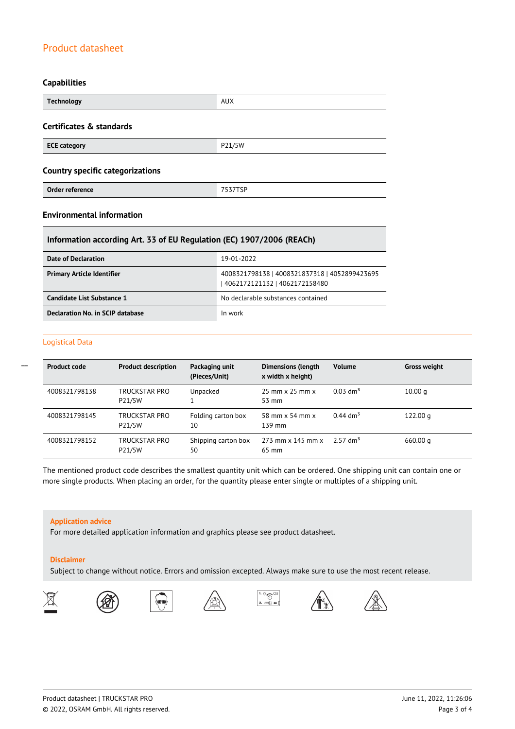#### **Capabilities**

| <b>Technology</b>                       | <b>AUX</b> |  |  |
|-----------------------------------------|------------|--|--|
| Certificates & standards                |            |  |  |
| <b>ECE category</b>                     | P21/5W     |  |  |
| <b>Country specific categorizations</b> |            |  |  |
| Order reference                         | 7537TSP    |  |  |

#### **Environmental information**

#### **Information according Art. 33 of EU Regulation (EC) 1907/2006 (REACh)**

| Date of Declaration               | 19-01-2022                                                                       |
|-----------------------------------|----------------------------------------------------------------------------------|
| <b>Primary Article Identifier</b> | 4008321798138   4008321837318   4052899423695<br>  4062172121132   4062172158480 |
| Candidate List Substance 1        | No declarable substances contained                                               |
| Declaration No. in SCIP database  | In work                                                                          |

#### Logistical Data

 $\overline{a}$ 

| <b>Product code</b> | <b>Product description</b> | Packaging unit<br>(Pieces/Unit) | <b>Dimensions (length</b><br>x width x height)       | <b>Volume</b>          | <b>Gross weight</b> |
|---------------------|----------------------------|---------------------------------|------------------------------------------------------|------------------------|---------------------|
| 4008321798138       | TRUCKSTAR PRO<br>P21/5W    | Unpacked                        | $25 \text{ mm} \times 25 \text{ mm} \times$<br>53 mm | $0.03$ dm <sup>3</sup> | 10.00 $q$           |
| 4008321798145       | TRUCKSTAR PRO<br>P21/5W    | Folding carton box<br>10        | 58 mm x 54 mm x<br>139 mm                            | $0.44$ dm <sup>3</sup> | 122.00 g            |
| 4008321798152       | TRUCKSTAR PRO<br>P21/5W    | Shipping carton box<br>50       | $273$ mm x 145 mm x<br>65 mm                         | $2.57$ dm <sup>3</sup> | 660.00 q            |

The mentioned product code describes the smallest quantity unit which can be ordered. One shipping unit can contain one or more single products. When placing an order, for the quantity please enter single or multiples of a shipping unit.

#### **Application advice**

For more detailed application information and graphics please see product datasheet.

#### **Disclaimer**

Subject to change without notice. Errors and omission excepted. Always make sure to use the most recent release.